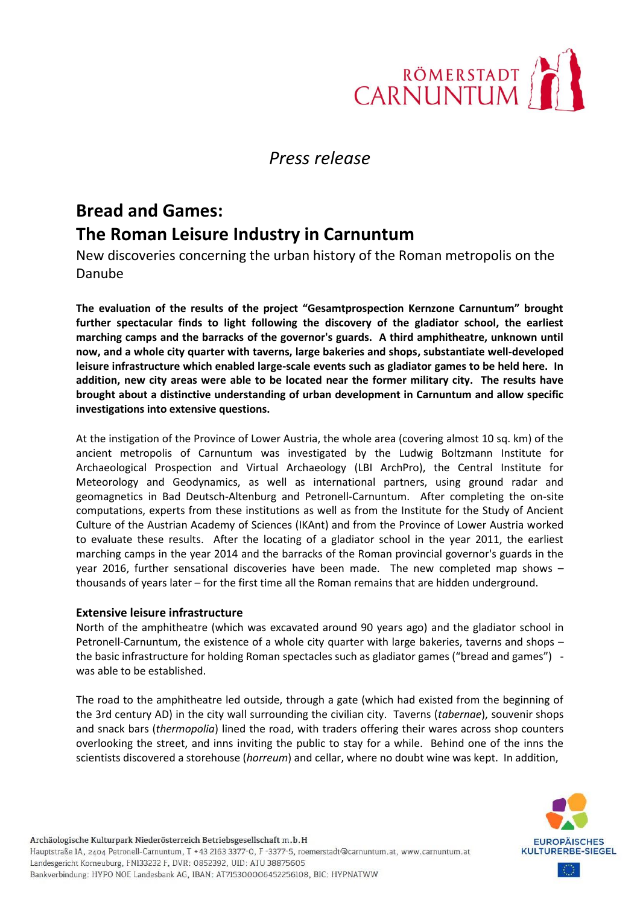

## *Press release*

# **Bread and Games: The Roman Leisure Industry in Carnuntum**

New discoveries concerning the urban history of the Roman metropolis on the Danube

**The evaluation of the results of the project "Gesamtprospection Kernzone Carnuntum" brought further spectacular finds to light following the discovery of the gladiator school, the earliest marching camps and the barracks of the governor's guards. A third amphitheatre, unknown until now, and a whole city quarter with taverns, large bakeries and shops, substantiate well-developed leisure infrastructure which enabled large-scale events such as gladiator games to be held here. In addition, new city areas were able to be located near the former military city. The results have brought about a distinctive understanding of urban development in Carnuntum and allow specific investigations into extensive questions.** 

At the instigation of the Province of Lower Austria, the whole area (covering almost 10 sq. km) of the ancient metropolis of Carnuntum was investigated by the Ludwig Boltzmann Institute for Archaeological Prospection and Virtual Archaeology (LBI ArchPro), the Central Institute for Meteorology and Geodynamics, as well as international partners, using ground radar and geomagnetics in Bad Deutsch-Altenburg and Petronell-Carnuntum. After completing the on-site computations, experts from these institutions as well as from the Institute for the Study of Ancient Culture of the Austrian Academy of Sciences (IKAnt) and from the Province of Lower Austria worked to evaluate these results. After the locating of a gladiator school in the year 2011, the earliest marching camps in the year 2014 and the barracks of the Roman provincial governor's guards in the year 2016, further sensational discoveries have been made. The new completed map shows – thousands of years later – for the first time all the Roman remains that are hidden underground.

#### **Extensive leisure infrastructure**

North of the amphitheatre (which was excavated around 90 years ago) and the gladiator school in Petronell-Carnuntum, the existence of a whole city quarter with large bakeries, taverns and shops – the basic infrastructure for holding Roman spectacles such as gladiator games ("bread and games") was able to be established.

The road to the amphitheatre led outside, through a gate (which had existed from the beginning of the 3rd century AD) in the city wall surrounding the civilian city. Taverns (*tabernae*), souvenir shops and snack bars (*thermopolia*) lined the road, with traders offering their wares across shop counters overlooking the street, and inns inviting the public to stay for a while. Behind one of the inns the scientists discovered a storehouse (*horreum*) and cellar, where no doubt wine was kept. In addition,

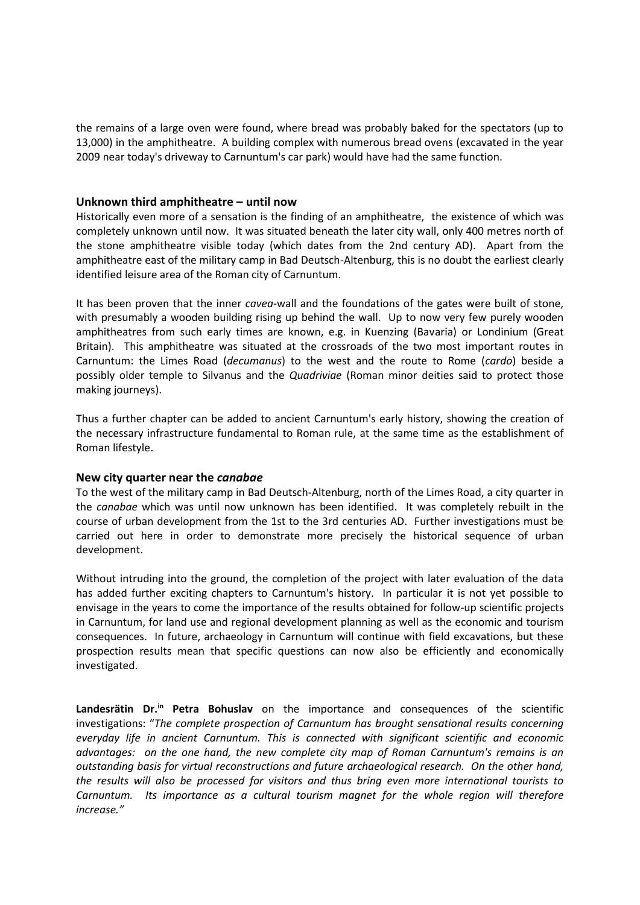the remains of a large oven were found, where bread was probably baked for the spectators (up to 13,000) in the amphitheatre. A building complex with numerous bread ovens (excavated in the year 2009 near today's driveway to Carnuntum's car park) would have had the same function.

#### **Unknown third amphitheatre – until now**

Historically even more of a sensation is the finding of an amphitheatre, the existence of which was completely unknown until now. It was situated beneath the later city wall, only 400 metres north of the stone amphitheatre visible today (which dates from the 2nd century AD). Apart from the amphitheatre east of the military camp in Bad Deutsch-Altenburg, this is no doubt the earliest clearly identified leisure area of the Roman city of Carnuntum.

It has been proven that the inner *cavea*-wall and the foundations of the gates were built of stone, with presumably a wooden building rising up behind the wall. Up to now very few purely wooden amphitheatres from such early times are known, e.g. in Kuenzing (Bavaria) or Londinium (Great Britain). This amphitheatre was situated at the crossroads of the two most important routes in Carnuntum: the Limes Road (*decumanus*) to the west and the route to Rome (*cardo*) beside a possibly older temple to Silvanus and the *Quadriviae* (Roman minor deities said to protect those making journeys).

Thus a further chapter can be added to ancient Carnuntum's early history, showing the creation of the necessary infrastructure fundamental to Roman rule, at the same time as the establishment of Roman lifestyle.

#### **New city quarter near the** *canabae*

To the west of the military camp in Bad Deutsch-Altenburg, north of the Limes Road, a city quarter in the *canabae* which was until now unknown has been identified. It was completely rebuilt in the course of urban development from the 1st to the 3rd centuries AD. Further investigations must be carried out here in order to demonstrate more precisely the historical sequence of urban development.

Without intruding into the ground, the completion of the project with later evaluation of the data has added further exciting chapters to Carnuntum's history. In particular it is not yet possible to envisage in the years to come the importance of the results obtained for follow-up scientific projects in Carnuntum, for land use and regional development planning as well as the economic and tourism consequences. In future, archaeology in Carnuntum will continue with field excavations, but these prospection results mean that specific questions can now also be efficiently and economically investigated.

**Landesrätin Dr.in Petra Bohuslav** on the importance and consequences of the scientific investigations: "*The complete prospection of Carnuntum has brought sensational results concerning everyday life in ancient Carnuntum. This is connected with significant scientific and economic advantages: on the one hand, the new complete city map of Roman Carnuntum's remains is an outstanding basis for virtual reconstructions and future archaeological research. On the other hand, the results will also be processed for visitors and thus bring even more international tourists to Carnuntum. Its importance as a cultural tourism magnet for the whole region will therefore increase."*